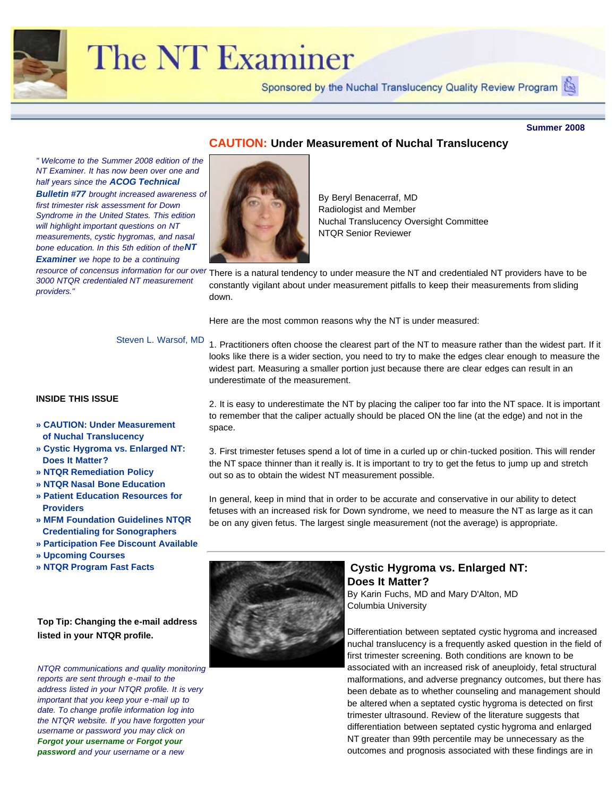

# The NT Examiner

Sponsored by the Nuchal Translucency Quality Review Program

#### **Summer 2008**

# **CAUTION: Under Measurement of Nuchal Translucency**

<span id="page-0-0"></span>*" Welcome to the Summer 2008 edition of the NT Examiner. It has now been over one and half years since the ACOG Technical Bulletin #77 brought increased awareness of first trimester risk assessment for Down Syndrome in the United States. This edition will highlight important questions on NT measurements, cystic hygromas, and nasal bone education. In this 5th edition of theNT Examiner we hope to be a continuing 3000 NTQR credentialed NT measurement providers."*

By Beryl Benacerraf, MD Radiologist and Member Nuchal Translucency Oversight Committee NTQR Senior Reviewer

resource of concensus information for our over There is a natural tendency to under measure the NT and credentialed NT providers have to be constantly vigilant about under measurement pitfalls to keep their measurements from sliding down.

Here are the most common reasons why the NT is under measured:

Steven L. Warsof, MD

# **INSIDE THIS ISSUE**

- **» [CAUTION: Under Measurement](#page-0-0) [of Nuchal Translucency](#page-0-0)**
- **» [Cystic Hygroma vs. Enlarged NT:](#page-0-1) [Does It Matter?](#page-0-1)**
- **» [NTQR Remediation Policy](#page-2-0)**
- **» [NTQR Nasal Bone Education](#page-3-0)**
- **» [Patient Education Resources for](#page-4-0) [Providers](#page-4-0)**
- **» [MFM Foundation Guidelines NTQR](#page-5-0) [Credentialing for Sonographers](#page-5-0)**
- **» [Participation Fee Discount Available](#page-5-1)**
- **» [Upcoming Courses](#page-6-0)**
- <span id="page-0-1"></span>**» [NTQR Program Fast Facts](#page-6-1)**

# **Top Tip: Changing the e-mail address listed in your NTQR profile.**

*NTQR communications and quality monitoring reports are sent through e-mail to the address listed in your NTQR profile. It is very important that you keep your e-mail up to date. To change profile information log into the NTQR website. If you have forgotten your username or password you may click on Forgot your username or Forgot your password and your username or a new*

2. It is easy to underestimate the NT by placing the caliper too far into the NT space. It is important to remember that the caliper actually should be placed ON the line (at the edge) and not in the space.

1. Practitioners often choose the clearest part of the NT to measure rather than the widest part. If it looks like there is a wider section, you need to try to make the edges clear enough to measure the widest part. Measuring a smaller portion just because there are clear edges can result in an

3. First trimester fetuses spend a lot of time in a curled up or chin-tucked position. This will render the NT space thinner than it really is. It is important to try to get the fetus to jump up and stretch out so as to obtain the widest NT measurement possible.

In general, keep in mind that in order to be accurate and conservative in our ability to detect fetuses with an increased risk for Down syndrome, we need to measure the NT as large as it can be on any given fetus. The largest single measurement (not the average) is appropriate.



underestimate of the measurement.

# **Cystic Hygroma vs. Enlarged NT: Does It Matter?**

By Karin Fuchs, MD and Mary D'Alton, MD Columbia University

Differentiation between septated cystic hygroma and increased nuchal translucency is a frequently asked question in the field of first trimester screening. Both conditions are known to be associated with an increased risk of aneuploidy, fetal structural malformations, and adverse pregnancy outcomes, but there has been debate as to whether counseling and management should be altered when a septated cystic hygroma is detected on first trimester ultrasound. Review of the literature suggests that differentiation between septated cystic hygroma and enlarged NT greater than 99th percentile may be unnecessary as the outcomes and prognosis associated with these findings are in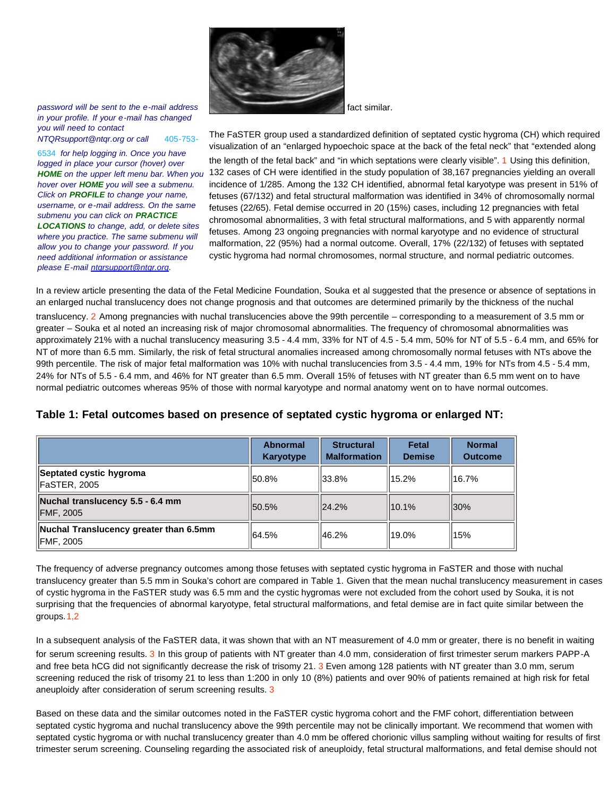

*password will be sent to the e-mail address in your profile. If your e-mail has changed you will need to contact NTQRsupport@ntqr.org or call* 405-753-

6534 *for help logging in. Once you have logged in place your cursor (hover) over hover over HOME you will see a submenu. Click on PROFILE to change your name, username, or e-mail address. On the same submenu you can click on PRACTICE LOCATIONS to change, add, or delete sites where you practice. The same submenu will allow you to change your password. If you need additional information or assistance please E-mail [ntqrsupport@ntqr.org.](mailto:ntqrsupport@ntqr.org)*

fact similar.

HOME on the upper left menu bar. When you 132 cases of CH were identified in the study population of 38,167 pregnancies yielding an overall The FaSTER group used a standardized definition of septated cystic hygroma (CH) which required visualization of an "enlarged hypoechoic space at the back of the fetal neck" that "extended along the length of the fetal back" and "in which septations were clearly visible". 1 Using this definition, incidence of 1/285. Among the 132 CH identified, abnormal fetal karyotype was present in 51% of fetuses (67/132) and fetal structural malformation was identified in 34% of chromosomally normal fetuses (22/65). Fetal demise occurred in 20 (15%) cases, including 12 pregnancies with fetal chromosomal abnormalities, 3 with fetal structural malformations, and 5 with apparently normal fetuses. Among 23 ongoing pregnancies with normal karyotype and no evidence of structural malformation, 22 (95%) had a normal outcome. Overall, 17% (22/132) of fetuses with septated cystic hygroma had normal chromosomes, normal structure, and normal pediatric outcomes.

In a review article presenting the data of the Fetal Medicine Foundation, Souka et al suggested that the presence or absence of septations in an enlarged nuchal translucency does not change prognosis and that outcomes are determined primarily by the thickness of the nuchal translucency. 2 Among pregnancies with nuchal translucencies above the 99th percentile – corresponding to a measurement of 3.5 mm or greater – Souka et al noted an increasing risk of major chromosomal abnormalities. The frequency of chromosomal abnormalities was approximately 21% with a nuchal translucency measuring 3.5 - 4.4 mm, 33% for NT of 4.5 - 5.4 mm, 50% for NT of 5.5 - 6.4 mm, and 65% for NT of more than 6.5 mm. Similarly, the risk of fetal structural anomalies increased among chromosomally normal fetuses with NTs above the 99th percentile. The risk of major fetal malformation was 10% with nuchal translucencies from 3.5 - 4.4 mm, 19% for NTs from 4.5 - 5.4 mm, 24% for NTs of 5.5 - 6.4 mm, and 46% for NT greater than 6.5 mm. Overall 15% of fetuses with NT greater than 6.5 mm went on to have

|                                                             | <b>Abnormal</b><br>Karyotype | <b>Structural</b><br><b>Malformation</b> | <b>Fetal</b><br><b>Demise</b> | <b>Normal</b><br><b>Outcome</b> |
|-------------------------------------------------------------|------------------------------|------------------------------------------|-------------------------------|---------------------------------|
| Septated cystic hygroma<br>FaSTER, 2005                     | 150.8%                       | 33.8%                                    | 15.2%                         | 16.7%                           |
| Nuchal translucency 5.5 - 6.4 mm<br><b>FMF, 2005</b>        | 150.5%                       | 24.2%                                    | 10.1%                         | $ 30\%$                         |
| Nuchal Translucency greater than 6.5mm<br><b>IFMF, 2005</b> | 64.5%                        | 146.2%                                   | 119.0%                        | 15%                             |

# **Table 1: Fetal outcomes based on presence of septated cystic hygroma or enlarged NT:**

normal pediatric outcomes whereas 95% of those with normal karyotype and normal anatomy went on to have normal outcomes.

The frequency of adverse pregnancy outcomes among those fetuses with septated cystic hygroma in FaSTER and those with nuchal translucency greater than 5.5 mm in Souka's cohort are compared in Table 1. Given that the mean nuchal translucency measurement in cases of cystic hygroma in the FaSTER study was 6.5 mm and the cystic hygromas were not excluded from the cohort used by Souka, it is not surprising that the frequencies of abnormal karyotype, fetal structural malformations, and fetal demise are in fact quite similar between the groups.1,2

In a subsequent analysis of the FaSTER data, it was shown that with an NT measurement of 4.0 mm or greater, there is no benefit in waiting for serum screening results. 3 In this group of patients with NT greater than 4.0 mm, consideration of first trimester serum markers PAPP-A and free beta hCG did not significantly decrease the risk of trisomy 21. 3 Even among 128 patients with NT greater than 3.0 mm, serum screening reduced the risk of trisomy 21 to less than 1:200 in only 10 (8%) patients and over 90% of patients remained at high risk for fetal aneuploidy after consideration of serum screening results. 3

Based on these data and the similar outcomes noted in the FaSTER cystic hygroma cohort and the FMF cohort, differentiation between septated cystic hygroma and nuchal translucency above the 99th percentile may not be clinically important. We recommend that women with septated cystic hygroma or with nuchal translucency greater than 4.0 mm be offered chorionic villus sampling without waiting for results of first trimester serum screening. Counseling regarding the associated risk of aneuploidy, fetal structural malformations, and fetal demise should not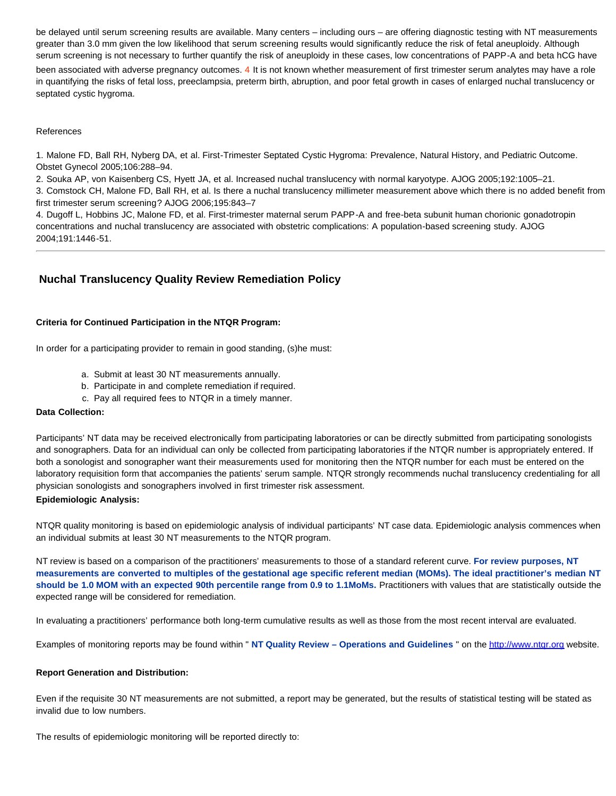be delayed until serum screening results are available. Many centers – including ours – are offering diagnostic testing with NT measurements greater than 3.0 mm given the low likelihood that serum screening results would significantly reduce the risk of fetal aneuploidy. Although serum screening is not necessary to further quantify the risk of aneuploidy in these cases, low concentrations of PAPP-A and beta hCG have

been associated with adverse pregnancy outcomes. 4 It is not known whether measurement of first trimester serum analytes may have a role in quantifying the risks of fetal loss, preeclampsia, preterm birth, abruption, and poor fetal growth in cases of enlarged nuchal translucency or septated cystic hygroma.

#### References

1. Malone FD, Ball RH, Nyberg DA, et al. First-Trimester Septated Cystic Hygroma: Prevalence, Natural History, and Pediatric Outcome. Obstet Gynecol 2005;106:288–94.

2. Souka AP, von Kaisenberg CS, Hyett JA, et al. Increased nuchal translucency with normal karyotype. AJOG 2005;192:1005–21.

3. Comstock CH, Malone FD, Ball RH, et al. Is there a nuchal translucency millimeter measurement above which there is no added benefit from first trimester serum screening? AJOG 2006;195:843–7

4. Dugoff L, Hobbins JC, Malone FD, et al. First-trimester maternal serum PAPP-A and free-beta subunit human chorionic gonadotropin concentrations and nuchal translucency are associated with obstetric complications: A population-based screening study. AJOG 2004;191:1446-51.

# <span id="page-2-0"></span>**Nuchal Translucency Quality Review Remediation Policy**

#### **Criteria for Continued Participation in the NTQR Program:**

In order for a participating provider to remain in good standing, (s)he must:

- a. Submit at least 30 NT measurements annually.
- b. Participate in and complete remediation if required.
- c. Pay all required fees to NTQR in a timely manner.

#### **Data Collection:**

Participants' NT data may be received electronically from participating laboratories or can be directly submitted from participating sonologists and sonographers. Data for an individual can only be collected from participating laboratories if the NTQR number is appropriately entered. If both a sonologist and sonographer want their measurements used for monitoring then the NTQR number for each must be entered on the laboratory requisition form that accompanies the patients' serum sample. NTQR strongly recommends nuchal translucency credentialing for all physician sonologists and sonographers involved in first trimester risk assessment.

#### **Epidemiologic Analysis:**

NTQR quality monitoring is based on epidemiologic analysis of individual participants' NT case data. Epidemiologic analysis commences when an individual submits at least 30 NT measurements to the NTQR program.

NT review is based on a comparison of the practitioners' measurements to those of a standard referent curve. **For review purposes, NT measurements are converted to multiples of the gestational age specific referent median (MOMs). The ideal practitioner's median NT should be 1.0 MOM with an expected 90th percentile range from 0.9 to 1.1MoMs.** Practitioners with values that are statistically outside the expected range will be considered for remediation.

In evaluating a practitioners' performance both long-term cumulative results as well as those from the most recent interval are evaluated.

Examples of monitoring reports may be found within " **NT Quality Review – Operations and Guidelines** " on the [http://www.ntqr.org](mailto:ntqrsupport@ntqr.org) website.

#### **Report Generation and Distribution:**

Even if the requisite 30 NT measurements are not submitted, a report may be generated, but the results of statistical testing will be stated as invalid due to low numbers.

The results of epidemiologic monitoring will be reported directly to: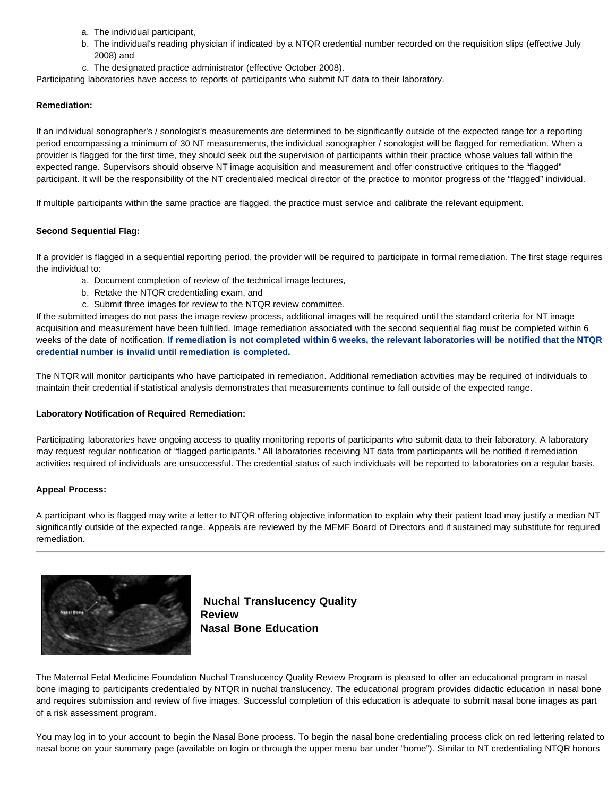- a. The individual participant,
- b. The individual's reading physician if indicated by a NTQR credential number recorded on the requisition slips (effective July 2008) and
- c. The designated practice administrator (effective October 2008).

Participating laboratories have access to reports of participants who submit NT data to their laboratory.

#### **Remediation:**

If an individual sonographer's / sonologist's measurements are determined to be significantly outside of the expected range for a reporting period encompassing a minimum of 30 NT measurements, the individual sonographer / sonologist will be flagged for remediation. When a provider is flagged for the first time, they should seek out the supervision of participants within their practice whose values fall within the expected range. Supervisors should observe NT image acquisition and measurement and offer constructive critiques to the "flagged" participant. It will be the responsibility of the NT credentialed medical director of the practice to monitor progress of the "flagged" individual.

If multiple participants within the same practice are flagged, the practice must service and calibrate the relevant equipment.

#### **Second Sequential Flag:**

If a provider is flagged in a sequential reporting period, the provider will be required to participate in formal remediation. The first stage requires the individual to:

- a. Document completion of review of the technical image lectures,
- b. Retake the NTQR credentialing exam, and
- c. Submit three images for review to the NTQR review committee.

If the submitted images do not pass the image review process, additional images will be required until the standard criteria for NT image acquisition and measurement have been fulfilled. Image remediation associated with the second sequential flag must be completed within 6 weeks of the date of notification. **If remediation is not completed within 6 weeks, the relevant laboratories will be notified that the NTQR credential number is invalid until remediation is completed.** 

The NTQR will monitor participants who have participated in remediation. Additional remediation activities may be required of individuals to maintain their credential if statistical analysis demonstrates that measurements continue to fall outside of the expected range.

#### **Laboratory Notification of Required Remediation:**

Participating laboratories have ongoing access to quality monitoring reports of participants who submit data to their laboratory. A laboratory may request regular notification of "flagged participants." All laboratories receiving NT data from participants will be notified if remediation activities required of individuals are unsuccessful. The credential status of such individuals will be reported to laboratories on a regular basis.

#### **Appeal Process:**

A participant who is flagged may write a letter to NTQR offering objective information to explain why their patient load may justify a median NT significantly outside of the expected range. Appeals are reviewed by the MFMF Board of Directors and if sustained may substitute for required remediation.

<span id="page-3-0"></span>

**Nuchal Translucency Quality Review Nasal Bone Education**

The Maternal Fetal Medicine Foundation Nuchal Translucency Quality Review Program is pleased to offer an educational program in nasal bone imaging to participants credentialed by NTQR in nuchal translucency. The educational program provides didactic education in nasal bone and requires submission and review of five images. Successful completion of this education is adequate to submit nasal bone images as part of a risk assessment program.

You may log in to your account to begin the Nasal Bone process. To begin the nasal bone credentialing process click on red lettering related to nasal bone on your summary page (available on login or through the upper menu bar under "home"). Similar to NT credentialing NTQR honors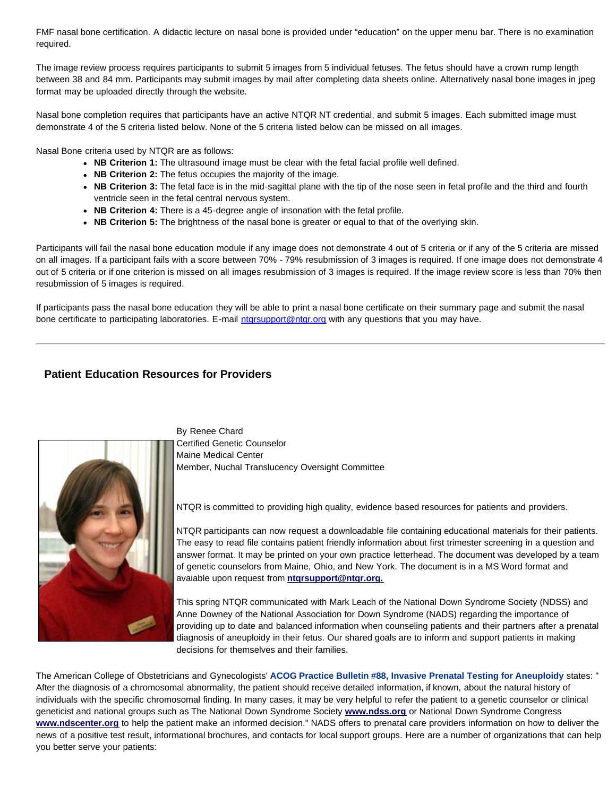FMF nasal bone certification. A didactic lecture on nasal bone is provided under "education" on the upper menu bar. There is no examination required.

The image review process requires participants to submit 5 images from 5 individual fetuses. The fetus should have a crown rump length between 38 and 84 mm. Participants may submit images by mail after completing data sheets online. Alternatively nasal bone images in jpeg format may be uploaded directly through the website.

Nasal bone completion requires that participants have an active NTQR NT credential, and submit 5 images. Each submitted image must demonstrate 4 of the 5 criteria listed below. None of the 5 criteria listed below can be missed on all images.

Nasal Bone criteria used by NTQR are as follows:

- NB Criterion 1: The ultrasound image must be clear with the fetal facial profile well defined.
- **NB Criterion 2:** The fetus occupies the majority of the image.
- **NB Criterion 3:** The fetal face is in the mid-sagittal plane with the tip of the nose seen in fetal profile and the third and fourth ventricle seen in the fetal central nervous system.
- NB Criterion 4: There is a 45-degree angle of insonation with the fetal profile.
- **NB Criterion 5:** The brightness of the nasal bone is greater or equal to that of the overlying skin.

Participants will fail the nasal bone education module if any image does not demonstrate 4 out of 5 criteria or if any of the 5 criteria are missed on all images. If a participant fails with a score between 70% - 79% resubmission of 3 images is required. If one image does not demonstrate 4 out of 5 criteria or if one criterion is missed on all images resubmission of 3 images is required. If the image review score is less than 70% then resubmission of 5 images is required.

If participants pass the nasal bone education they will be able to print a nasal bone certificate on their summary page and submit the nasal bone certificate to participating laboratories. E-mail ntarsupport@ntqr.org with any questions that you may have.

## <span id="page-4-0"></span>**Patient Education Resources for Providers**



By Renee Chard Certified Genetic Counselor Maine Medical Center Member, Nuchal Translucency Oversight Committee

NTQR is committed to providing high quality, evidence based resources for patients and providers.

NTQR participants can now request a downloadable file containing educational materials for their patients. The easy to read file contains patient friendly information about first trimester screening in a question and answer format. It may be printed on your own practice letterhead. The document was developed by a team of genetic counselors from Maine, Ohio, and New York. The document is in a MS Word format and avaiable upon request from **[ntqrsupport@ntqr.org.](http://www.ntqr.org/)**

This spring NTQR communicated with Mark Leach of the National Down Syndrome Society (NDSS) and Anne Downey of the National Association for Down Syndrome (NADS) regarding the importance of providing up to date and balanced information when counseling patients and their partners after a prenatal diagnosis of aneuploidy in their fetus. Our shared goals are to inform and support patients in making decisions for themselves and their families.

The American College of Obstetricians and Gynecologists' **ACOG Practice Bulletin #88, Invasive Prenatal Testing for Aneuploidy** states: " After the diagnosis of a chromosomal abnormality, the patient should receive detailed information, if known, about the natural history of individuals with the specific chromosomal finding. In many cases, it may be very helpful to refer the patient to a genetic counselor or clinical geneticist and national groups such as The National Down Syndrome Society **[www.ndss.org](http://www.ntqr.org/)** or National Down Syndrome Congress **[www.ndscenter.org](http://www.ndscenter.org/)** to help the patient make an informed decision." NADS offers to prenatal care providers information on how to deliver the news of a positive test result, informational brochures, and contacts for local support groups. Here are a number of organizations that can help you better serve your patients: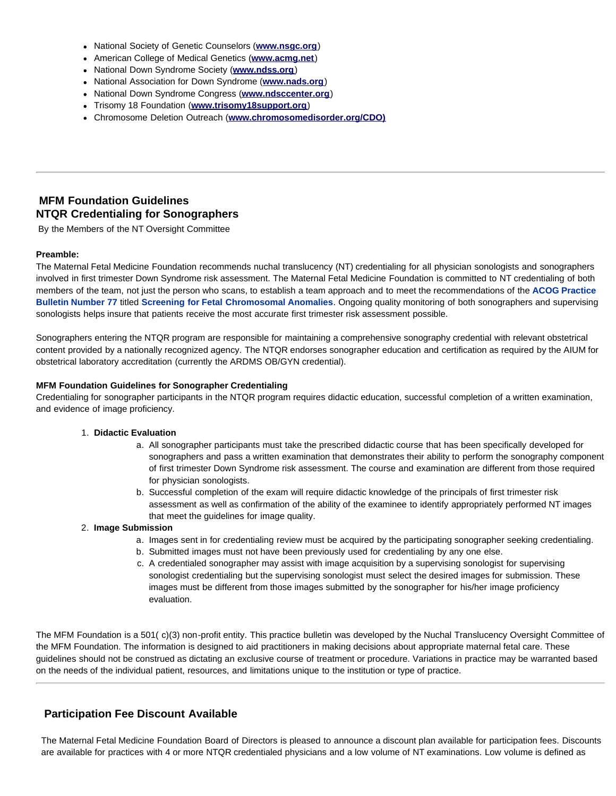- National Society of Genetic Counselors (**[www.nsgc.org](http://www.nsgc.org/)**)
- American College of Medical Genetics (**[www.acmg.net](http://www.nsgc.org/)**)
- National Down Syndrome Society (**[www.ndss.org](http://www.nsgc.org/)**)
- National Association for Down Syndrome (**[www.nads.org](http://www.nsgc.org/)**)
- National Down Syndrome Congress (**[www.ndsccenter.org](http://www.nsgc.org/)**)
- Trisomy 18 Foundation (**[www.trisomy18support.org](http://www.nsgc.org/)**)
- Chromosome Deletion Outreach (**[www.chromosomedisorder.org/CDO\)](http://www.nsgc.org/)**

# <span id="page-5-0"></span>**MFM Foundation Guidelines NTQR Credentialing for Sonographers**

By the Members of the NT Oversight Committee

#### **Preamble:**

The Maternal Fetal Medicine Foundation recommends nuchal translucency (NT) credentialing for all physician sonologists and sonographers involved in first trimester Down Syndrome risk assessment. The Maternal Fetal Medicine Foundation is committed to NT credentialing of both members of the team, not just the person who scans, to establish a team approach and to meet the recommendations of the **ACOG Practice Bulletin Number 77** titled **Screening for Fetal Chromosomal Anomalies**. Ongoing quality monitoring of both sonographers and supervising sonologists helps insure that patients receive the most accurate first trimester risk assessment possible.

Sonographers entering the NTQR program are responsible for maintaining a comprehensive sonography credential with relevant obstetrical content provided by a nationally recognized agency. The NTQR endorses sonographer education and certification as required by the AIUM for obstetrical laboratory accreditation (currently the ARDMS OB/GYN credential).

#### **MFM Foundation Guidelines for Sonographer Credentialing**

Credentialing for sonographer participants in the NTQR program requires didactic education, successful completion of a written examination, and evidence of image proficiency.

#### 1. **Didactic Evaluation**

- a. All sonographer participants must take the prescribed didactic course that has been specifically developed for sonographers and pass a written examination that demonstrates their ability to perform the sonography component of first trimester Down Syndrome risk assessment. The course and examination are different from those required for physician sonologists.
- b. Successful completion of the exam will require didactic knowledge of the principals of first trimester risk assessment as well as confirmation of the ability of the examinee to identify appropriately performed NT images that meet the guidelines for image quality.

#### 2. **Image Submission**

- a. Images sent in for credentialing review must be acquired by the participating sonographer seeking credentialing.
- b. Submitted images must not have been previously used for credentialing by any one else.
- c. A credentialed sonographer may assist with image acquisition by a supervising sonologist for supervising sonologist credentialing but the supervising sonologist must select the desired images for submission. These images must be different from those images submitted by the sonographer for his/her image proficiency evaluation.

The MFM Foundation is a 501( c)(3) non-profit entity. This practice bulletin was developed by the Nuchal Translucency Oversight Committee of the MFM Foundation. The information is designed to aid practitioners in making decisions about appropriate maternal fetal care. These guidelines should not be construed as dictating an exclusive course of treatment or procedure. Variations in practice may be warranted based on the needs of the individual patient, resources, and limitations unique to the institution or type of practice.

# <span id="page-5-1"></span>**Participation Fee Discount Available**

The Maternal Fetal Medicine Foundation Board of Directors is pleased to announce a discount plan available for participation fees. Discounts are available for practices with 4 or more NTQR credentialed physicians and a low volume of NT examinations. Low volume is defined as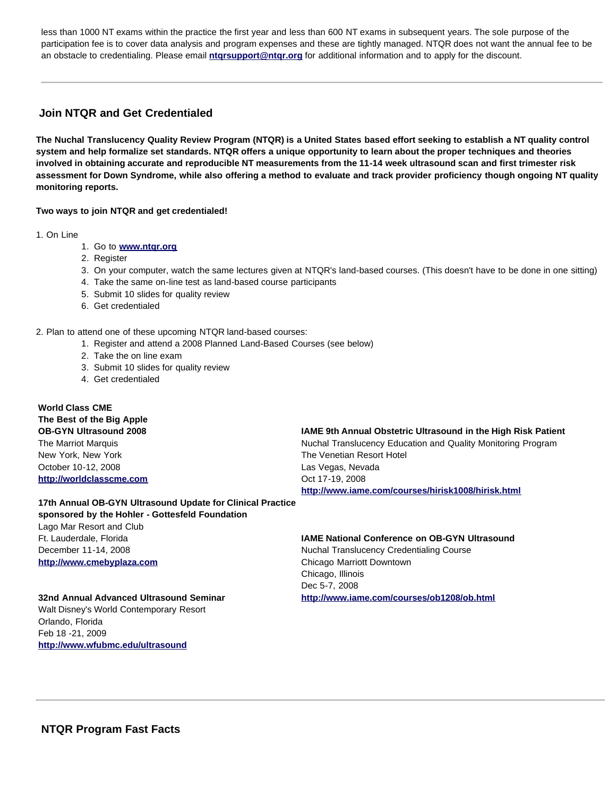less than 1000 NT exams within the practice the first year and less than 600 NT exams in subsequent years. The sole purpose of the participation fee is to cover data analysis and program expenses and these are tightly managed. NTQR does not want the annual fee to be an obstacle to credentialing. Please email **[ntqrsupport@ntqr.org](http://www.ntqr.org/)** for additional information and to apply for the discount.

# <span id="page-6-0"></span>**Join NTQR and Get Credentialed**

**The Nuchal Translucency Quality Review Program (NTQR) is a United States based effort seeking to establish a NT quality control system and help formalize set standards. NTQR offers a unique opportunity to learn about the proper techniques and theories involved in obtaining accurate and reproducible NT measurements from the 11-14 week ultrasound scan and first trimester risk assessment for Down Syndrome, while also offering a method to evaluate and track provider proficiency though ongoing NT quality monitoring reports.** 

**Two ways to join NTQR and get credentialed!** 

1. On Line

- 1. Go to **[www.ntqr.org](http://www.ntqr.org/)**
- 2. Register
- 3. On your computer, watch the same lectures given at NTQR's land-based courses. (This doesn't have to be done in one sitting)
- 4. Take the same on-line test as land-based course participants
- 5. Submit 10 slides for quality review
- 6. Get credentialed

2. Plan to attend one of these upcoming NTQR land-based courses:

- 1. Register and attend a 2008 Planned Land-Based Courses (see below)
- 2. Take the on line exam
- 3. Submit 10 slides for quality review
- 4. Get credentialed

# **World Class CME The Best of the Big Apple OB-GYN Ultrasound 2008** The Marriot Marquis

New York, New York October 10-12, 2008 **[http://worldclasscme.com](http://worldclasscme.com/)** **IAME 9th Annual Obstetric Ultrasound in the High Risk Patient**

Nuchal Translucency Education and Quality Monitoring Program The Venetian Resort Hotel Las Vegas, Nevada Oct 17-19, 2008 **<http://www.iame.com/courses/hirisk1008/hirisk.html>**

**17th Annual OB-GYN Ultrasound Update for Clinical Practice sponsored by the Hohler - Gottesfeld Foundation** Lago Mar Resort and Club Ft. Lauderdale, Florida December 11-14, 2008 **[http://www.cmebyplaza.com](http://www.cmebyplaza.com/)**

# **IAME National Conference on OB-GYN Ultrasound**

Nuchal Translucency Credentialing Course Chicago Marriott Downtown Chicago, Illinois Dec 5-7, 2008 **<http://www.iame.com/courses/ob1208/ob.html>**

### **32nd Annual Advanced Ultrasound Seminar**

<span id="page-6-1"></span>Walt Disney's World Contemporary Resort Orlando, Florida Feb 18 -21, 2009 **[http://www.wfubmc.edu/ultrasound](http://www./)**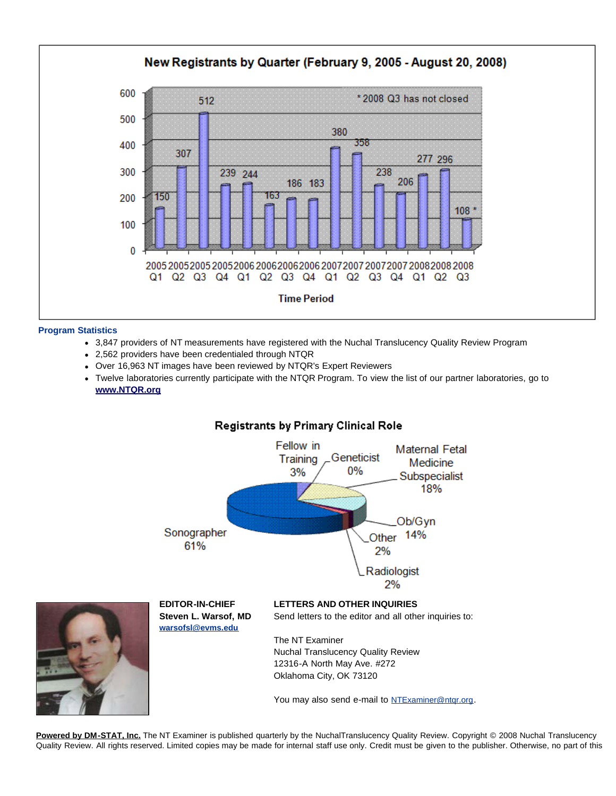

#### **Program Statistics**

- 3,847 providers of NT measurements have registered with the Nuchal Translucency Quality Review Program
- 2,562 providers have been credentialed through NTQR
- Over 16,963 NT images have been reviewed by NTQR's Expert Reviewers
- Twelve laboratories currently participate with the NTQR Program. To view the list of our partner laboratories, go to **[www.NTQR.org](http://www.ntqr.org/)**



# Registrants by Primary Clinical Role

**[Powered by DM-STAT, Inc.](http://www.dmstat.com/)** The NT Examiner is published quarterly by the NuchalTranslucency Quality Review. Copyright © 2008 Nuchal Translucency Quality Review. All rights reserved. Limited copies may be made for internal staff use only. Credit must be given to the publisher. Otherwise, no part of this